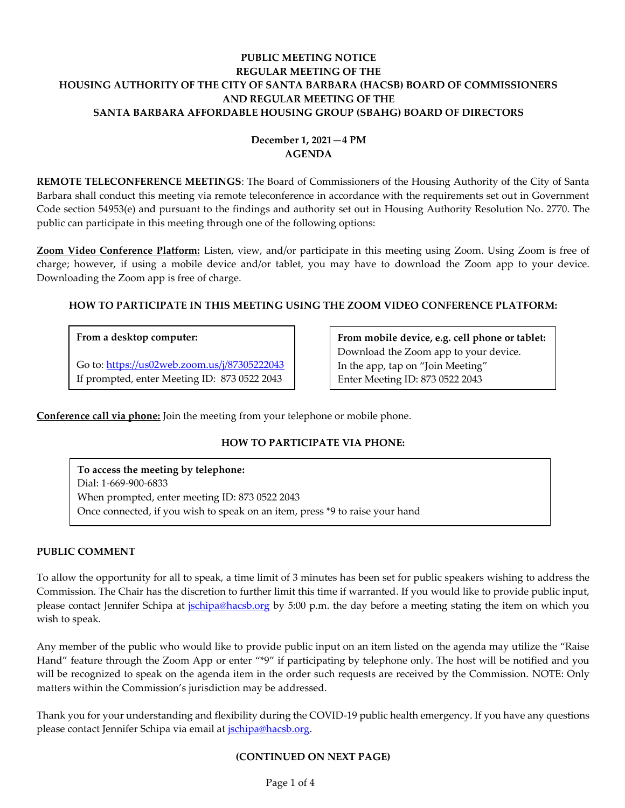# **PUBLIC MEETING NOTICE REGULAR MEETING OF THE HOUSING AUTHORITY OF THE CITY OF SANTA BARBARA (HACSB) BOARD OF COMMISSIONERS AND REGULAR MEETING OF THE SANTA BARBARA AFFORDABLE HOUSING GROUP (SBAHG) BOARD OF DIRECTORS**

# **December 1, 2021—4 PM AGENDA**

**REMOTE TELECONFERENCE MEETINGS**: The Board of Commissioners of the Housing Authority of the City of Santa Barbara shall conduct this meeting via remote teleconference in accordance with the requirements set out in Government Code section 54953(e) and pursuant to the findings and authority set out in Housing Authority Resolution No. 2770. The public can participate in this meeting through one of the following options:

**Zoom Video Conference Platform:** Listen, view, and/or participate in this meeting using Zoom. Using Zoom is free of charge; however, if using a mobile device and/or tablet, you may have to download the Zoom app to your device. Downloading the Zoom app is free of charge.

# **HOW TO PARTICIPATE IN THIS MEETING USING THE ZOOM VIDEO CONFERENCE PLATFORM:**

# **From a desktop computer:**

Go to:<https://us02web.zoom.us/j/87305222043> If prompted, enter Meeting ID: 873 0522 2043

**From mobile device, e.g. cell phone or tablet:** Download the Zoom app to your device. In the app, tap on "Join Meeting" Enter Meeting ID: 873 0522 2043

**Conference call via phone:** Join the meeting from your telephone or mobile phone.

# **HOW TO PARTICIPATE VIA PHONE:**

**To access the meeting by telephone:** Dial: 1-669-900-6833 When prompted, enter meeting ID: 873 0522 2043 Once connected, if you wish to speak on an item, press \*9 to raise your hand

# **PUBLIC COMMENT**

To allow the opportunity for all to speak, a time limit of 3 minutes has been set for public speakers wishing to address the Commission. The Chair has the discretion to further limit this time if warranted. If you would like to provide public input, please contact Jennifer Schipa at *jschipa@hacsb.org* by 5:00 p.m. the day before a meeting stating the item on which you wish to speak.

Any member of the public who would like to provide public input on an item listed on the agenda may utilize the "Raise Hand" feature through the Zoom App or enter "\*9" if participating by telephone only. The host will be notified and you will be recognized to speak on the agenda item in the order such requests are received by the Commission. NOTE: Only matters within the Commission's jurisdiction may be addressed.

Thank you for your understanding and flexibility during the COVID-19 public health emergency. If you have any questions please contact Jennifer Schipa via email at [jschipa@hacsb.org.](mailto:jschipa@hacsb.org)

# **(CONTINUED ON NEXT PAGE)**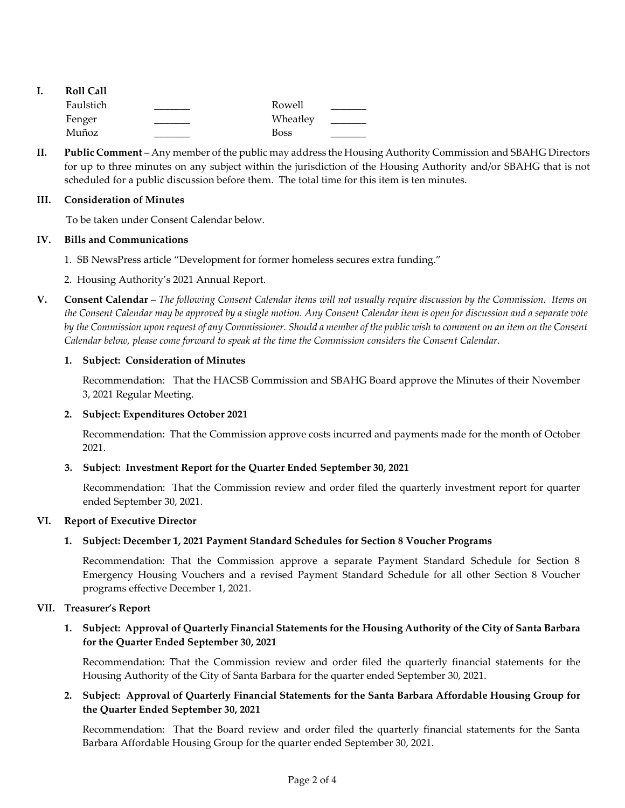| ı. | <b>Roll Call</b> |             |  |
|----|------------------|-------------|--|
|    | Faulstich        | Rowell      |  |
|    | Fenger           | Wheatley    |  |
|    | Muñoz            | <b>Boss</b> |  |

**II. Public Comment** – Any member of the public may address the Housing Authority Commission and SBAHG Directors for up to three minutes on any subject within the jurisdiction of the Housing Authority and/or SBAHG that is not scheduled for a public discussion before them. The total time for this item is ten minutes.

### **III. Consideration of Minutes**

To be taken under Consent Calendar below.

#### **IV. Bills and Communications**

- 1. SB NewsPress article ["Development for former homeless secures extra funding."](https://hacsb.org/download/meetings_2021/items/december/Item-IV.1_SB-NewsPress-Development-for-former-homeless-secures-extra-funding.pdf)
- [2. Housing Authority's 2021 Annual Report.](https://hacsb.org/download/meetings_2021/items/december/HASB-Annual-Report-2021-7-FINAL.pdf)
- **V. Consent Calendar** *The following Consent Calendar items will not usually require discussion by the Commission. Items on the Consent Calendar may be approved by a single motion. Any Consent Calendar item is open for discussion and a separate vote by the Commission upon request of any Commissioner. Should a member of the public wish to comment on an item on the Consent Calendar below, please come forward to speak at the time the Commission considers the Consent Calendar.*

#### **1. Subject: Consideration of Minutes**

Recommendation: That the HACSB Commission [and SBAHG Board approve the Minutes of their November](https://hacsb.org/download/meetings_2021/items/december/Item-V.1_Minutes-11-03-2021.pdf) 3, 2021 Regular Meeting.

#### **2. Subject: Expenditures October 2021**

[Recommendation: That the Commission approve costs incurred and payments made for the month of October](https://hacsb.org/download/meetings_2021/items/december/Item-V.2_October-2021-Expenditures_partial.pdf) 2021.

#### **3. Subject: Investment Report for the Quarter Ended September 30, 2021**

[Recommendation: That the Commission review and order filed the quarterly investment report for quarter](https://hacsb.org/download/meetings_2021/items/december/Item-V.3_Investment-Report-2021-09-30.pdf)  ended September 30, 2021.

#### **VI. Report of Executive Director**

# **1. Subject: December 1, 2021 Payment Standard Schedules for Section 8 Voucher Programs**

[Recommendation: That the Commission approve a separate Payment Standard Schedule for Section 8](https://hacsb.org/download/meetings_2021/items/december/Item-VI.1_New-Payment-Standards.pdf)  Emergency Housing Vouchers and a revised Payment Standard Schedule for all other Section 8 Voucher programs effective December 1, 2021.

#### **VII. Treasurer's Report**

# **1. Subject: Approval of Quarterly Financial Statements for the Housing Authority of the City of Santa Barbara for the Quarter Ended September 30, 2021**

[Recommendation: That the Commission review and order filed the quarterly financial statements for the](https://hacsb.org/download/meetings_2021/items/december/Item-VII.1_HACSB-Financials-2021-09-30.pdf)  Housing Authority of the City of Santa Barbara for the quarter ended September 30, 2021.

# **2. [Subject: Approval of Quarterly Financial Statements for the Santa Barbara Affordable Housing Group for](https://hacsb.org/download/meetings_2021/items/december/Item-VII.2_SBAHG-Financials-2021-09-30.pdf)  the Quarter Ended September 30, 2021**

Recommendation: That the Board review and order filed the quarterly financial statements for the Santa Barbara Affordable Housing Group for the quarter ended September 30, 2021.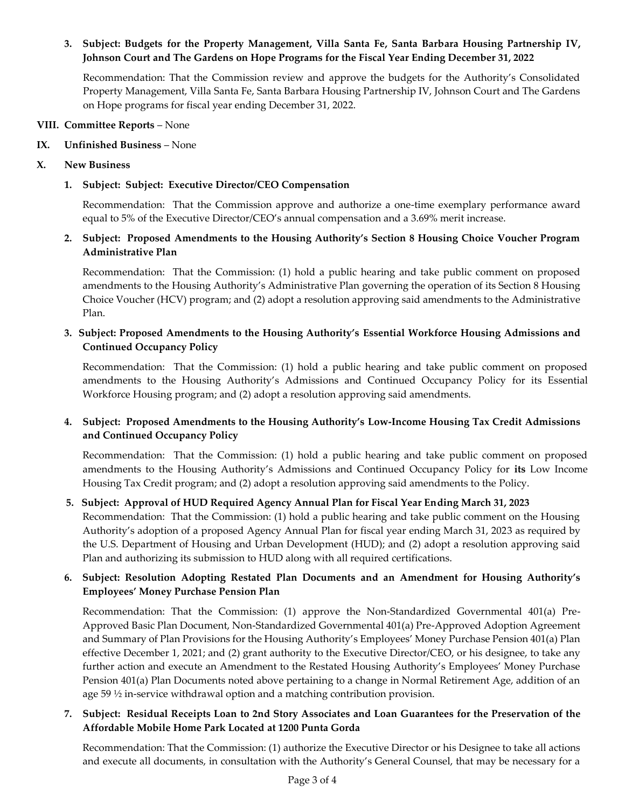# **[3. Subject: Budgets for the Property Management, Villa Santa Fe, Santa Barbara Housing Partnership IV,](https://hacsb.org/download/meetings_2021/items/december/Item-VII.3_Property-Management-FY2022-Budget.pdf)  Johnson Court and The Gardens on Hope Programs for the Fiscal Year Ending December 31, 2022**

Recommendation: That the Commission review and approve the budgets for the Authority's Consolidated Property Management, Villa Santa Fe, Santa Barbara Housing Partnership IV, Johnson Court and The Gardens on Hope programs for fiscal year ending December 31, 2022.

#### **VIII. Committee Reports** – None

**IX. Unfinished Business** – None

### **X. New Business**

### **1. Subject: Subject: Executive Director/CEO Compensation**

Recommendation: That the Commission approve and authorize a one-time exemplary performance award equal to 5% of the Executive Director/CEO's annual compensation and a 3.69% merit increase.

# **2. Subject: Proposed Amendments to the Housing Authority's Section 8 Housing Choice Voucher Program Administrative Plan**

Recommendation: That the Commission: (1) hold a public hearing and take public comment on proposed amendments to the Housing Authority's Administrative Plan governing the operation of its Section 8 Housing [Choice Voucher \(HCV\) program; and \(2\) adopt a resolution approving said amendments to the Administrative](https://hacsb.org/download/meetings_2021/items/december/Item-X.2_Section-8-Admin-Plan-Amendments.pdf)  Plan.

# **3. Subject: Proposed Amendments to the Housing Authority's Essential Workforce Housing Admissions and Continued Occupancy Policy**

[Recommendation: That the Commission: \(1\) hold a public hearing and take public comment on proposed](https://hacsb.org/download/meetings_2021/items/december/Item-X.3_Essential-Workforce-Policy-Amendments.pdf)  amendments to the Housing Authority's Admissions and Continued Occupancy Policy for its Essential Workforce Housing program; and (2) adopt a resolution approving said amendments.

# **4. Subject: Proposed Amendments to the Housing Authority's Low-Income Housing Tax Credit Admissions and Continued Occupancy Policy**

[Recommendation: That the Commission: \(1\) hold a public hearing and take public comment on proposed](https://hacsb.org/download/meetings_2021/items/december/Item-X.4_LIHTC-Policy-Amendments.pdf)  amendments to the Housing Authority's Admissions and Continued Occupancy Policy for **its** Low Income Housing Tax Credit program; and (2) adopt a resolution approving said amendments to the Policy.

# **5. Subject: Approval of HUD Required Agency Annual Plan for Fiscal Year Ending March 31, 2023**

Recommendation: That the Commission: (1) hold a public hearing and take public comment on the Housing Authority's adoption of a proposed Agency Annual Plan for fiscal year ending March 31, 2023 as required by [the U.S. Department of Housing and Urban Development \(HUD\); and \(2\) adopt a resolution approving said](https://hacsb.org/download/meetings_2021/items/december/Item-X.5_HUD-Annual-Plan.pdf)  Plan and authorizing its submission to HUD along with all required certifications.

# **6. Subject: Resolution Adopting Restated Plan Documents and an Amendment for Housing Authority's Employees' Money Purchase Pension Plan**

Recommendation: That the Commission: (1) approve the Non-Standardized Governmental 401(a) Pre-[Approved Basic Plan Document, Non-Standardized Governmental 401\(a\) Pre-Approved Adoption Agreement](https://hacsb.org/download/meetings_2021/items/december/Item-X.6_Retirement-Plan-Restatement.pdf)  and Summary of Plan Provisions for the Housing Authority's Employees' Money Purchase Pension 401(a) Plan effective December 1, 2021; and (2) grant authority to the Executive Director/CEO, or his designee, to take any further action and execute an Amendment to the Restated Housing Authority's Employees' Money Purchase Pension 401(a) Plan Documents noted above pertaining to a change in Normal Retirement Age, addition of an age 59 ½ in-service withdrawal option and a matching contribution provision.

# **[7. Subject: Residual Receipts Loan to 2nd Story Associates and Loan Guarantees for the Preservation of the](https://hacsb.org/download/meetings_2021/items/december/Item-X.7_SB-Green-Mobile-Home-Park.pdf)  Affordable Mobile Home Park Located at 1200 Punta Gorda**

Recommendation: That the Commission: (1) authorize the Executive Director or his Designee to take all actions and execute all documents, in consultation with the Authority's General Counsel, that may be necessary for a